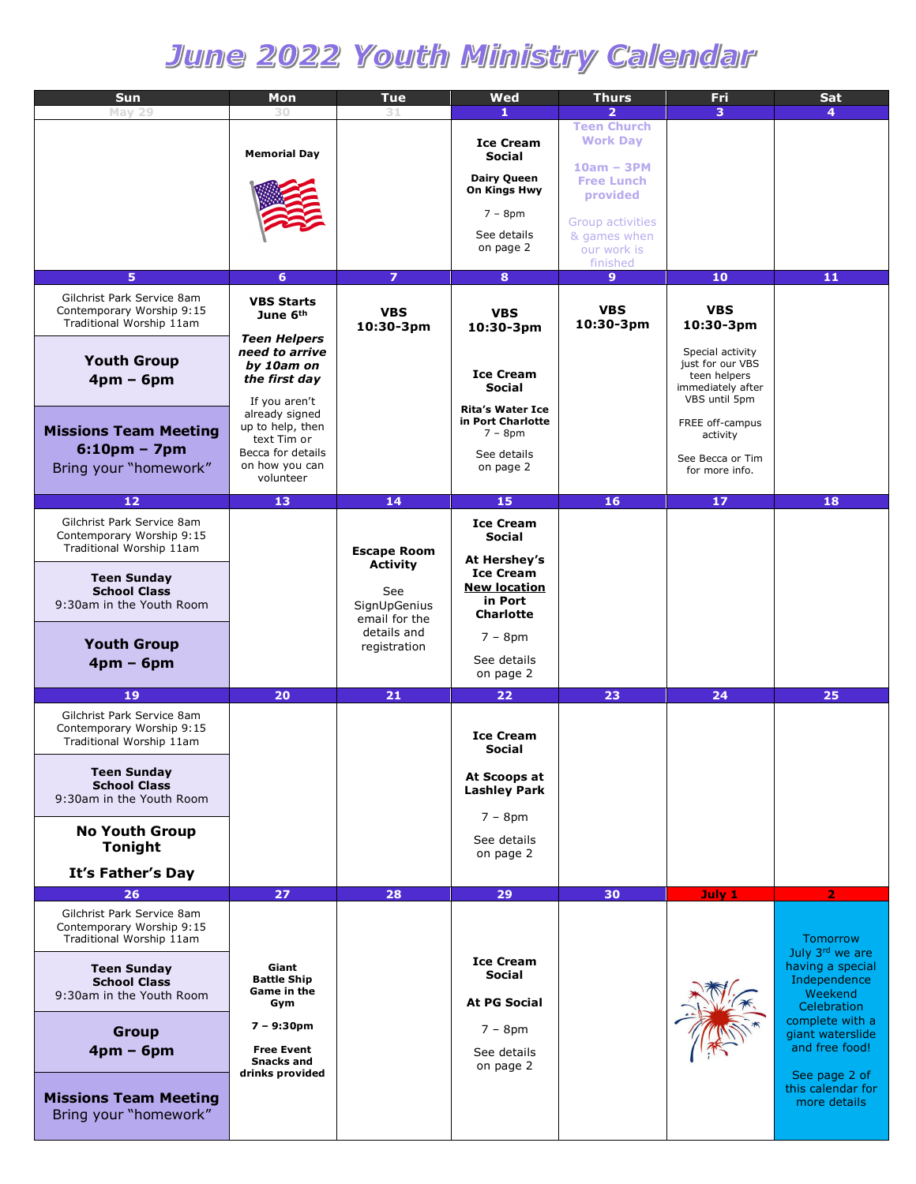# June 2022 Youth Ministry Calendar

| Sun                                                                                 | Mon                                                                | Tue                                    | Wed                                                                | Thurs                                         | Fri                                                                    | Sat                                                                           |
|-------------------------------------------------------------------------------------|--------------------------------------------------------------------|----------------------------------------|--------------------------------------------------------------------|-----------------------------------------------|------------------------------------------------------------------------|-------------------------------------------------------------------------------|
| May 29                                                                              | 30                                                                 |                                        | 1                                                                  | $\overline{2}$                                | 3.                                                                     | 4                                                                             |
|                                                                                     | <b>Memorial Day</b>                                                |                                        | <b>Ice Cream</b><br>Social                                         | <b>Teen Church</b><br><b>Work Day</b>         |                                                                        |                                                                               |
|                                                                                     |                                                                    |                                        | <b>Dairy Queen</b><br>On Kings Hwy                                 | $10am - 3PM$<br><b>Free Lunch</b><br>provided |                                                                        |                                                                               |
|                                                                                     |                                                                    |                                        | $7 - 8pm$                                                          |                                               |                                                                        |                                                                               |
|                                                                                     |                                                                    |                                        | See details                                                        | Group activities<br>& games when              |                                                                        |                                                                               |
|                                                                                     |                                                                    |                                        | on page 2                                                          | our work is<br>finished                       |                                                                        |                                                                               |
| 5                                                                                   | 6                                                                  | $\overline{z}$                         | 8                                                                  | 9 <sup>°</sup>                                | 10                                                                     | 11                                                                            |
| Gilchrist Park Service 8am<br>Contemporary Worship 9:15<br>Traditional Worship 11am | <b>VBS Starts</b><br>June 6 <sup>th</sup>                          | <b>VBS</b><br>10:30-3pm                | <b>VBS</b><br>10:30-3pm                                            | <b>VBS</b><br>10:30-3pm                       | <b>VBS</b><br>10:30-3pm                                                |                                                                               |
| <b>Youth Group</b>                                                                  | <b>Teen Helpers</b><br>need to arrive                              |                                        |                                                                    |                                               | Special activity                                                       |                                                                               |
| $4pm - 6pm$                                                                         | by 10am on<br>the first day                                        |                                        | <b>Ice Cream</b><br>Social                                         |                                               | just for our VBS<br>teen helpers<br>immediately after<br>VBS until 5pm |                                                                               |
| <b>Missions Team Meeting</b>                                                        | If you aren't<br>already signed<br>up to help, then                |                                        | <b>Rita's Water Ice</b><br>in Port Charlotte<br>$7 - 8pm$          |                                               | FREE off-campus<br>activity                                            |                                                                               |
| $6:10pm - 7pm$<br>Bring your "homework"                                             | text Tim or<br>Becca for details<br>on how you can<br>volunteer    |                                        | See details<br>on page 2                                           |                                               | See Becca or Tim<br>for more info.                                     |                                                                               |
|                                                                                     |                                                                    |                                        |                                                                    |                                               |                                                                        |                                                                               |
| 12                                                                                  | 13                                                                 | 14                                     | 15                                                                 | 16                                            | 17                                                                     | 18                                                                            |
| Gilchrist Park Service 8am<br>Contemporary Worship 9:15<br>Traditional Worship 11am |                                                                    | <b>Escape Room</b>                     | <b>Ice Cream</b><br>Social                                         |                                               |                                                                        |                                                                               |
| <b>Teen Sunday</b><br><b>School Class</b><br>9:30am in the Youth Room               |                                                                    | <b>Activity</b><br>See<br>SignUpGenius | At Hershey's<br><b>Ice Cream</b><br><b>New location</b><br>in Port |                                               |                                                                        |                                                                               |
|                                                                                     |                                                                    | email for the<br>details and           | <b>Charlotte</b><br>$7 - 8pm$                                      |                                               |                                                                        |                                                                               |
| <b>Youth Group</b><br>$4pm - 6pm$                                                   |                                                                    | registration                           | See details<br>on page 2                                           |                                               |                                                                        |                                                                               |
| 19                                                                                  | 20                                                                 | 21                                     | 22                                                                 | 23                                            | 24                                                                     | 25                                                                            |
| Gilchrist Park Service 8am<br>Contemporary Worship 9:15<br>Traditional Worship 11am |                                                                    |                                        | <b>Ice Cream</b><br>Social                                         |                                               |                                                                        |                                                                               |
| <b>Teen Sunday</b><br><b>School Class</b><br>9:30am in the Youth Room               |                                                                    |                                        | At Scoops at<br><b>Lashley Park</b>                                |                                               |                                                                        |                                                                               |
| <b>No Youth Group</b>                                                               |                                                                    |                                        | $7 - 8pm$<br>See details                                           |                                               |                                                                        |                                                                               |
| <b>Tonight</b><br>It's Father's Day                                                 |                                                                    |                                        | on page 2                                                          |                                               |                                                                        |                                                                               |
| 26                                                                                  | 27                                                                 | 28                                     | 29                                                                 | 30                                            | July 1                                                                 | $\overline{2}$                                                                |
| Gilchrist Park Service 8am<br>Contemporary Worship 9:15<br>Traditional Worship 11am |                                                                    |                                        |                                                                    |                                               |                                                                        | Tomorrow                                                                      |
| <b>Teen Sunday</b><br><b>School Class</b><br>9:30am in the Youth Room               | Giant<br><b>Battle Ship</b><br>Game in the<br>Gym                  |                                        | <b>Ice Cream</b><br>Social<br><b>At PG Social</b>                  |                                               |                                                                        | July 3rd we are<br>having a special<br>Independence<br>Weekend<br>Celebration |
| <b>Group</b><br>$4pm - 6pm$                                                         | $7 - 9:30pm$<br><b>Free Event</b><br>Snacks and<br>drinks provided |                                        | $7 - 8pm$<br>See details<br>on page 2                              |                                               |                                                                        | complete with a<br>giant waterslide<br>and free food!<br>See page 2 of        |
| <b>Missions Team Meeting</b><br>Bring your "homework"                               |                                                                    |                                        |                                                                    |                                               |                                                                        | this calendar for<br>more details                                             |